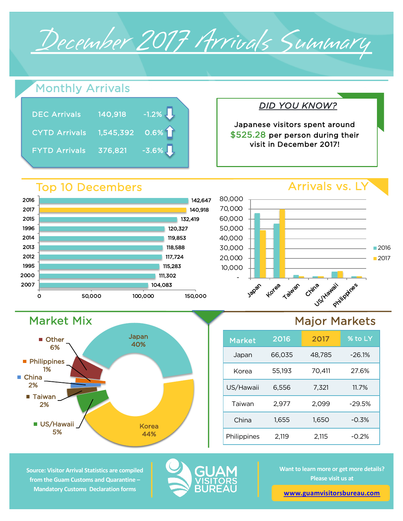

## Monthly Arrivals

| <b>DEC Arrivals</b>  | 140,918                      | $-1.2\%$ |
|----------------------|------------------------------|----------|
| <b>CYTD Arrivals</b> | $\overline{)1,545,392}$ 0.6% |          |
| <b>FYTD Arrivals</b> | 376,821                      | $-3.6\%$ |

# *DID YOU KNOW?*

Japanese visitors spent around \$525.28 per person during their visit in December 2017!

#### 115,283 117,724 118,588 119,853 120,327 1995 2012 2013 2014 1996 2015 2017 2016

## Arrivals vs. LY



## Major Markets

| <b>Market</b> | 2016   | 2017   | % to LY  |
|---------------|--------|--------|----------|
| Japan         | 66,035 | 48,785 | $-26.1%$ |
| Korea         | 55,193 | 70,411 | 27.6%    |
| US/Hawaii     | 6,556  | 7,321  | 11.7%    |
| Taiwan        | 2,977  | 2,099  | $-29.5%$ |
| China         | 1.655  | 1,650  | $-0.3%$  |
| Philippines   | 2.119  | 2,115  | $-0.2%$  |

#### **Source: Visitor Arrival Statistics are compiled from the Guam Customs and Quarantine – Mandatory Customs Declaration forms**

Market Mix

■ US/Hawaii 5%

■ Taiwan 2%

**Philippines** 1%

**Other** 6%

■ China 2%



**Want to learn more or get more details? Please visit us at** 

**www.guamvisitorsbureau.com**

#### Top 10 Decembers



Japan 40%

> Korea 44%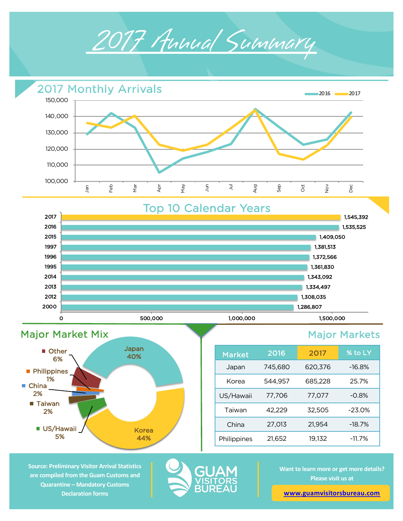







| <b>Market</b> | 2016    | 2017    | % to LY  |
|---------------|---------|---------|----------|
| Japan         | 745,680 | 620,376 | $-16.8%$ |
| Korea         | 544,957 | 685,228 | 25.7%    |
| US/Hawaii     | 77.706  | 77.077  | $-0.8%$  |
| Taiwan        | 42,229  | 32,505  | $-23.0%$ |
| China         | 27,013  | 21,954  | $-18.7%$ |
| Philippines   | 21,652  | 19,132  | $-11.7%$ |

**Source: Preliminary Visitor Arrival Statistics are compiled from the Guam Customs and Quarantine – Mandatory Customs Declaration forms** 



**Want to learn more or get more details? Please visit us at** 

**www.guamvisitorsbureau.com**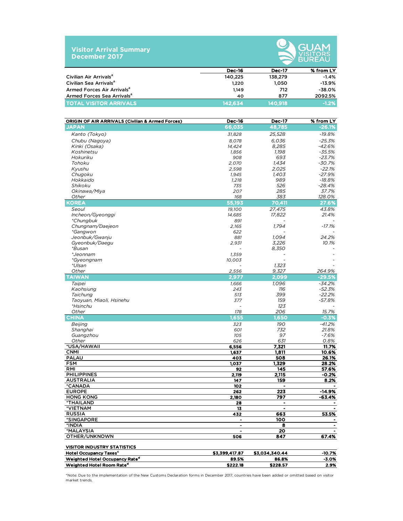| <b>Visitor Arrival Summary</b> |  |
|--------------------------------|--|
| December 2017                  |  |



|                                        |               |               | __________ |
|----------------------------------------|---------------|---------------|------------|
|                                        | <b>Dec-16</b> | <b>Dec-17</b> | % from LY  |
| Civilian Air Arrivals <sup>a</sup>     | 140.225       | 138,279       | -1.4%      |
| Civilian Sea Arrivals <sup>a</sup>     | 1.220         | 1.050         | $-13.9%$   |
| Armed Forces Air Arrivals <sup>a</sup> | 1.149         | 712           | -38.0%     |
| Armed Forces Sea Arrivals <sup>a</sup> | 40            | 877           | 2092.5%    |
| <b>TOTAL VISITOR ARRIVALS</b>          | 142,634       | 140.918       | $-1.2%$    |

| ORIGIN OF AIR ARRIVALS (Civilian & Armed Forces) | <b>Dec-16</b>  | <b>Dec-17</b>  | % from LY      |
|--------------------------------------------------|----------------|----------------|----------------|
| <b>JAPAN</b>                                     | 66,035         | 48,785         | $-26.1%$       |
| Kanto (Tokyo)                                    | 31,828         | 25,528         | -19.8%         |
| Chubu (Nagoya)                                   | 8,078          | 6,036          | $-25.3%$       |
| Kinki (Osaka)                                    | 14,424         | 8,285          | $-42.6%$       |
| Koshinetsu                                       | 1,856          | 1,198          | $-35.5%$       |
| Hokuriku                                         | 908            | 693            | $-23.7%$       |
| Tohoku                                           | 2,070          | 1,434          | $-30.7%$       |
| Kyushu                                           | 2,598          | 2,025          | $-22.1%$       |
| Chugoku                                          | 1,945          | 1,403          | $-27.9%$       |
| Hokkaido                                         | 1,218          | 989            | $-18.8%$       |
| Shikoku                                          | 735            | 526            | $-28.4%$       |
| Okinawa/Miya                                     | 207            | 285            | 37.7%          |
| Other                                            | 168            | 383            | 128.0%         |
| <b>KOREA</b>                                     | 55,193         | 70,411         | 27.6%          |
| Seoul                                            | 19,100         | 27,475         | 43.8%          |
| Incheon/Gyeonggi                                 | 14,685         | 17,822         | 21.4%          |
| *Chungbuk                                        | 891            |                |                |
| Chungnam/Daejeon                                 | 2,165          | 1,794          | $-17.1%$       |
| *Gangwon                                         | 622            |                |                |
| Jeonbuk/Gwanju                                   | 881            | 1,094          | 24.2%          |
| Gyeonbuk/Daegu                                   | 2,931          | 3,226          | 10.1%          |
| *Busan                                           |                | 8,350          |                |
| *Jeonnam                                         | 1,359          |                |                |
| *Gyeongnam                                       | 10,003         |                |                |
| *Ulsan                                           |                | 1,323          |                |
| Other                                            | 2,556          | 9,327          | 264.9%         |
| <b>TAIWAN</b>                                    | 2,977          | 2.099          | $-29.5%$       |
| Taipei                                           | 1,666          | 1,096          | $-34.2%$       |
| Kaohsiung                                        | 243            | 116            | $-52.3%$       |
| Taichung                                         | 513            | 399            | $-22.2%$       |
| Taoyuan, Miaoli, Hsinehu                         | 377            | 159            | $-57.8%$       |
| *Hsinchu                                         |                | 123            |                |
| Other                                            | 178<br>1,655   | 206<br>1,650   | 15.7%          |
| <b>CHINA</b>                                     |                |                | $-0.3%$        |
| Beijing                                          | 323            | 190            | $-41.2%$       |
| Shanghai                                         | 601            | 732            | 21.8%          |
| Guangzhou                                        | 105            | 97             | $-7.6%$        |
| Other<br>*USA/HAWAII                             | 626            | 631<br>7,321   | 0.8%<br>11.7%  |
| <b>CNMI</b>                                      | 6,556<br>1,637 | 1,811          | 10.6%          |
| <b>PALAU</b>                                     | 403            | 508            | 26.1%          |
| <b>FSM</b>                                       | 1,037          | 1,329          | 28.2%          |
| <b>RMI</b>                                       | 92             | 145            | 57.6%          |
| <b>PHILIPPINES</b>                               | 2,119          | 2,115          | $-0.2%$        |
| <b>AUSTRALIA</b>                                 | 147            | 159            | 8.2%           |
| *CANADA                                          | 102            | $\blacksquare$ |                |
| <b>EUROPE</b>                                    | 262            | 223            | $-14.9%$       |
| <b>HONG KONG</b>                                 | 2,180          | 797            | $-63.4%$       |
| *THAILAND                                        | 28             |                |                |
| *VIETNAM                                         | 13             | $\blacksquare$ | ٠              |
| <b>RUSSIA</b>                                    | 432            | 663            | 53.5%          |
| *SINGAPORE                                       | $\bullet$      | 100            | $\bullet$      |
| *INDIA                                           |                | 8              | ۰.             |
| *MALAYSIA                                        | $\blacksquare$ | 20             | $\blacksquare$ |
| OTHER/UNKNOWN                                    | 506            | 847            | 67.4%          |
| <b>VISITOR INDUSTRY STATISTICS</b>               |                |                |                |
| <b>Hotel Occupancy Taxes<sup>c</sup></b>         | \$3,399,417.87 | \$3,034,340.44 | -10.7%         |
| Weighted Hotel Occupancy Rate <sup>d</sup>       | 89.5%          | 86.8%          | $-3.0%$        |
| Weighted Hotel Room Rate <sup>d</sup>            | \$222.18       | \$228.57       | 2.9%           |

\*Note: Due to the implementation of the New Customs Declaration forms in December 2017, countries have been added or omitted based on visitor market trends.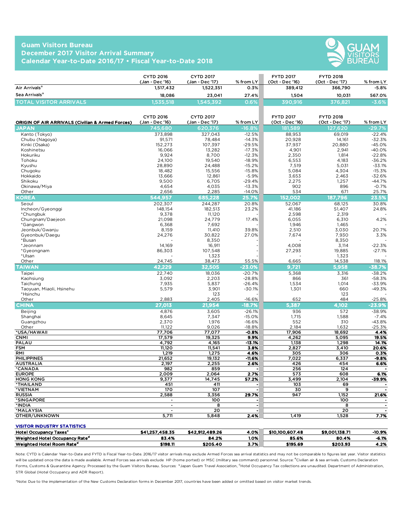#### **Guam Visitors Bureau December 2017 Visitor Arrival Summary Calendar Year-to-Date 2016/17 • Fiscal Year-to-Date 2018**



|                                | <b>CYTD 2016</b><br>(Jan - Dec '16) | <b>CYTD 2017</b><br>(Jan - Dec '17) | $%$ from LY | <b>FYTD 2017</b><br>(Oct - Dec '16) | <b>FYTD 2018</b><br>(Oct - Dec '17) | % from LY |
|--------------------------------|-------------------------------------|-------------------------------------|-------------|-------------------------------------|-------------------------------------|-----------|
| Air Arrivals <sup>a</sup>      | 1,517,432                           | 1.522.351                           | 0.3%        | 389.412                             | 366,790                             | $-5.8%$   |
| Sea Arrivals <sup>a</sup>      | 18.086                              | 23.041                              | 27.4%       | 1.504                               | 10.031                              | 567.0%    |
| <b>TOTAL VISITOR ARRIVALS.</b> | 1,535,518                           | 1.545.392                           | 0.6%        | 390.916                             | 376.821                             | $-3.6%$   |

| <b>ORIGIN OF AIR ARRIVALS (Civilian &amp; Armed Forces)</b> | <b>CYTD 2016</b><br>(Jan - Dec '16) | <b>CYTD 2017</b><br>(Jan - Dec '17) | % from LY            | <b>FYTD 2017</b><br>(Oct - Dec '16) | <b>FYTD 2018</b><br>(Oct - Dec '17) | % from LY      |
|-------------------------------------------------------------|-------------------------------------|-------------------------------------|----------------------|-------------------------------------|-------------------------------------|----------------|
| <b>JAPAN</b>                                                | 745,680                             | 620.376                             | $-16.8%$             | 181.589                             | 127.620                             | $-29.7%$       |
| Kanto (Tokyo)                                               | 373,898                             | 327,043                             | $-12.5%$             | 88,953                              | 69,019                              | $-22.4%$       |
| Chubu (Nagoya)                                              | 91,571                              | 78.484                              | $-14.3%$             | 20,928                              | 14,161                              | $-32.3%$       |
| Kinki (Osaka)                                               | 152,273                             | 107,397                             | $-29.5%$             | 37,937                              | 20,880                              | $-45.0%$       |
| Koshinetsu                                                  | 16,066                              | 13,282                              | $-17.3%$             | 4,901                               | 2,941                               | $-40.0%$       |
| Hokuriku                                                    | 9,924                               | 8,700                               | $-12.3%$             | 2,350                               | 1,814                               | $-22.8%$       |
| Tohoku                                                      | 24,100                              | 19,540                              | $-18.9%$             | 6,553                               | 4,183                               | $-36.2%$       |
| Kyushu                                                      | 28,890                              | 24,488                              | $-15.2%$             | 7,519                               | 5,031                               | $-33.1%$       |
| Chugoku                                                     | 18,482                              | 15,556                              | $-15.8%$             | 5,084                               | 4,304                               | $-15.3%$       |
| Hokkaido                                                    | 13,666                              | 12,861                              | $-5.9%$              | 3,653                               | 2,463                               | $-32.6%$       |
| Shikoku                                                     | 9,500                               | 6,705                               | $-29.4%$             | 2,275                               | 1,257                               | $-44.7%$       |
| Okinawa/Miya                                                | 4,654                               | 4,035                               | $-13.3%$             | 902                                 | 896                                 | $-0.7%$        |
| Other                                                       | 2,656                               | 2,285                               | $-14.0%$             | 534                                 | 671                                 | 25.7%          |
| <b>KOREA</b>                                                | 544,957                             | 685,228                             | 25.7%                | 152,002                             | 187,796                             | 23.5%          |
| Seoul                                                       | 202,307                             | 244,287                             | 20.8%                | 52,067                              | 68,125                              | 30.8%          |
| Incheon/Gyeonggi                                            | 148,154                             | 182,513                             | 23.2%                | 41,186                              | 51,407                              | 24.8%          |
| *Chunabuk                                                   | 9,378                               | 11.120                              |                      | 2.598                               | 2,319                               |                |
| Chungnam/Daejeon                                            | 21.098                              | 24,779                              | 17.4%                | 6.055                               | 6,310                               | 4.2%           |
| *Gangwon                                                    | 6,368                               | 7,692                               |                      | 1,946                               | 1,465                               |                |
| Jeonbuk/Gwanju                                              | 8,159                               | 11,410                              | 39.8%                | 2,510                               | 3,030                               | 20.7%          |
| Gyeonbuk/Daegu                                              | 24,276                              | 30,822                              | 27.0%                | 7,674                               | 7,930                               | 3.3%           |
| *Busan                                                      |                                     | 8,350                               |                      |                                     | 8,350                               |                |
| *Jeonnam                                                    | 14,169                              | 16,911                              |                      | 4,008                               | 3,114                               | $-22.3%$       |
| *Gyeongnam                                                  | 86,303                              | 107,548                             |                      | 27,293                              | 19,885                              | $-27.1%$       |
| *Ulsan                                                      |                                     | 1,323                               |                      |                                     | 1,323                               |                |
| Other                                                       | 24,745                              | 38,473                              | 55.5%                | 6,665                               | 14,538                              | 118.1%         |
| <b>TAIWAN</b>                                               | 42.229                              | 32.505                              | $-23.0%$             | 9,721                               | 5,958                               | $-38.7%$       |
| Taipei                                                      | 22,740                              | 18,036                              | $-20.7%$             | 5,368                               | 3,316                               | $-38.2%$       |
| Kaohsiung                                                   | 3,092                               | 2,203                               | $-28.8%$             | 866                                 | 361                                 | $-58.3%$       |
| Taichung                                                    | 7,935                               | 5,837                               | $-26.4%$             | 1,534                               | 1,014                               | $-33.9%$       |
| Taoyuan, Miaoli, Hsinehu                                    | 5,579                               | 3,901                               | $-30.1%$             | 1,301                               | 660                                 | $-49.3%$       |
| *Hsinchu                                                    |                                     | 123                                 |                      |                                     | 123                                 |                |
| Other                                                       | 2,883                               | 2,405                               | $-16.6%$             | 652                                 | 484                                 | $-25.8%$       |
| <b>CHINA</b>                                                | 27,013                              | 21,954                              | $-18.7%$             | 5,387                               | 4,102                               | $-23.9%$       |
| Beijing                                                     | 4,876                               | 3,605                               | $-26.1%$             | 936                                 | 572                                 | $-38.9%$       |
| Shanghai                                                    | 8,645                               | 7,347                               | $-15.0%$             | 1,715                               | 1,588                               | $-7.4%$        |
| Guangzhou                                                   | 2,370                               | 1,976                               | $-16.6%$             | 552                                 | 310                                 | $-43.8%$       |
| Other                                                       | 11,122                              | 9,026                               | $-18.8%$             | 2,184                               | 1,632                               | $-25.3%$       |
| *USA/HAWAII                                                 | 77,706                              | 77,077                              | $-0.8%$              | 17,906                              | 18,692                              | 4.4%           |
| <b>CNMI</b>                                                 | 17,579                              | 19,325                              | 9.9%                 | 4,262                               | 5,095                               | 19.5%          |
| PALAU                                                       | 4,792                               | 4,165                               | $-13.1%$             | 1,138                               | 1,298                               | 14.1%          |
| <b>FSM</b>                                                  | 11,120                              | 11,541                              | 3.8%                 | 2,827                               | 3,410                               | 20.6%          |
| RMI                                                         | 1,219                               | 1,275                               | 4.6%                 | 305                                 | 306                                 | 0.3%           |
| <b>PHILIPPINES</b>                                          | 21,652                              | 19,132                              | $-11.6%$             | 7,022                               | 6,337                               | -9.8%          |
| <b>AUSTRALIA</b>                                            | 2,197                               | 2,255                               | 2.6%                 | 426                                 | 454                                 | 6.6%           |
| *CANADA                                                     | 982                                 | 859                                 |                      | 256                                 | 124                                 |                |
| <b>EUROPE</b>                                               | 2,009                               | 2.064                               | 2.7%                 | 573                                 | 608                                 | 6.1%           |
| <b>HONG KONG</b>                                            | 9,377                               | 14,745                              | 57.2%                | 3,499                               | 2,104                               | -39.9%         |
| *THAILAND                                                   | 451                                 | 411                                 |                      | 103                                 | 69                                  |                |
| *VIETNAM                                                    | 170                                 | 107                                 |                      | 30                                  | 9                                   |                |
| <b>RUSSIA</b>                                               | 2.588                               | 3,356                               | 29.7%                | 947                                 | 1,152                               | 21.6%          |
| *SINGAPORE                                                  |                                     | 100                                 |                      |                                     | 100                                 |                |
| *INDIA                                                      | $\blacksquare$                      | 8                                   | $\ddot{\phantom{a}}$ |                                     | 8                                   | $\blacksquare$ |
| *MALAYSIA                                                   | $\overline{a}$                      | $\overline{20}$                     |                      |                                     | 20                                  | $\blacksquare$ |
| OTHER/UNKNOWN                                               | 5,711                               | 5,848                               | 2.4%                 | 1,419                               | 1,528                               | 7.7%           |
|                                                             |                                     |                                     |                      |                                     |                                     |                |

| <b>VISITOR INDUSTRY STATISTICS</b>         |                 |                 |      |                 |                |          |
|--------------------------------------------|-----------------|-----------------|------|-----------------|----------------|----------|
| <b>Hotel Occupancy Taxes<sup>c</sup></b>   | \$41.257.458.35 | \$42.912.489.26 | 4.0% | \$10,100,607,48 | \$9,001,138.71 | $-10.9%$ |
| Weighted Hotel Occupancy Rate <sup>d</sup> | 83.4%           | 84.2%           | 1.0% | 85.6%           | 80.4%          | $-6.1%$  |
| Weighted Hotel Room Rate <sup>d</sup>      | \$198.11        | \$205.40        | 3.7% | \$195.69        | \$203.93       | 4.2%     |

Note: CYTD is Calendar Year-to-Date and FYTD is Fiscal Year-to-Date. 2016/17 visitor arrivals may exclude Armed Forces sea arrival statistics and may not be comparable to figures last year. Visitor statistics will be updated once the data is made available. Armed Forces sea arrivals exclude HP (home ported) or MSC (military sea command) personnel. Source: <sup>a</sup>Civilian air & sea arrivals. Customs Declaration Forms, Customs & Quarantine Agency. Processed by the Guam Visitors Bureau. Sources: 『Japan Guam Travel Association, <sup>C</sup>Hotel Occupancy Tax collections are unaudited. Department of Administration, STR Global (Hotel Occupancy and ADR Report).

\*Note: Due to the implementation of the New Customs Declaration forms in December 2017, countries have been added or omitted based on visitor market trends.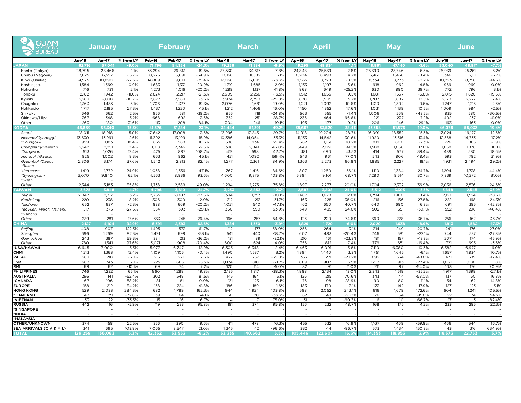| GUAM<br><u>/IS</u> ITORS<br>BUREAU |                | <b>January</b>           |                   | <b>February</b>  |                          |                      | <b>March</b>                                         |                                    |                      | <b>April</b>     |                          |                  | May                                        |                                 |                     | June             |                                    |                      |
|------------------------------------|----------------|--------------------------|-------------------|------------------|--------------------------|----------------------|------------------------------------------------------|------------------------------------|----------------------|------------------|--------------------------|------------------|--------------------------------------------|---------------------------------|---------------------|------------------|------------------------------------|----------------------|
|                                    | Jan-16         | Jan-17                   | % from LY         | Feb-16           | <b>Feb-17</b>            | % from LY            | <b>Mar-16</b>                                        | <b>Mar-17</b>                      | % from LY            | Apr-16           | Apr-17                   | % from LY        | <b>May-16</b>                              | May-17                          | % from LY           | Jun-16           | Jun-17                             | % from LY            |
| <b>JAPAN</b>                       | 62,716         | 57,041                   | $-9.09$           | 71,796           | 54.354                   | 24.39                | 79,256                                               | 71.384                             | -9.9                 | 49.295           | 49.834                   |                  | 48.891                                     | 47.140                          | $-3.6^{\circ}$      | 53,040           | 48.971                             | $-7.79$              |
| Kanto (Tokyo)                      | 28,795         | 28,466                   | $-1.1%$           | 33,294           | 26,813                   | $-19.5%$             | 37,530                                               | 34,617                             | $-7.8%$              | 24,848           | 25,539                   | 2.8%             | 25,390                                     | 23,746                          | $-6.5%$             | 26,939           | 25,261                             | $-6.2%$              |
| Chubu (Nagoya)                     | 7,825          | 6,597                    | $-15.7%$          | 10,276           | 6,691                    | $-34.9%$             | 10.168                                               | 11.502                             | 13.1%                | 6,204            | 6,498                    | 4.7%             | 6,461                                      | 6,438                           | $-0.4%$             | 6,346            | 6,111                              | $-3.7%$              |
| Kinki (Osaka)                      | 14.975         | 10,890                   | $-27.3%$          | 14,889           | 9,619                    | $-35.4%$             | 17,068                                               | 13,095                             | $-23.3%$             | 9,535            | 8,720                    | $-8.5%$          | 8,334                                      | 8,273                           | $-0.7%$             | 10,223           | 8,758                              | $-14.3%$             |
| Koshinetsu                         | 1,584          | 1,569                    | $-0.9%$           | 1,683            | 1,331                    | $-20.9%$             | 1,719                                                | 1,685                              | $-2.0%$              | 1,133            | 1,197                    | 5.6%             | 918                                        | 962                             | 4.8%                | 969              | 969                                | 0.0%                 |
| Hokuriku                           | 716            | 731                      | 2.1%              | 1,273            | 1,016                    | $-20.2%$             | 1,289                                                | 1,137                              | $-11.8%$             | 868              | 649                      | $-25.2%$         | 630                                        | 880                             | 39.7%               | 772              | 796                                | 3.1%                 |
| Tohoku                             | 2.182          | 1.942                    | $-11.0%$          | 2,824            | 2,217                    | $-21.5%$             | 2,609                                                | 2,256                              | $-13.5%$             | 1.512            | 1,656                    | 9.5%             | 1.681                                      | 1.567                           | $-6.8%$             | 2,015            | 1,620                              | $-19.6%$             |
| Kyushu                             | 2,283          | 2.038                    | $-10.7%$          | 2,677            | 2.589                    | $-3.3%$              | 3.974                                                | 2.790                              | $-29.8%$             | 1,830            | 1.935                    | 5.7%             | 1.703                                      | 1.882                           | 10.5%               | 2,120            | 2,277                              | 7.4%                 |
| Chugoku                            | 1,363<br>1.717 | 1,433                    | 5.1%              | 1,706            | 1,377                    | $-19.3%$             | 2,076                                                | 1,681                              | $-19.0%$             | 1,221            | 1,092                    | $-10.6%$         | 1,310                                      | 1,302                           | $-0.6%$             | 1,247            | 1,215<br>984                       | $-2.6%$              |
| Hokkaido                           | 646            | 2,185<br>662             | 27.3%             | 1,437<br>956     | 1,220<br>581             | $-15.1%$<br>$-39.2%$ | 1,212<br>955                                         | 1,406<br>718                       | 16.0%                | 1,150<br>563     | 1,352<br>555             | 17.6%<br>$-1.4%$ | 1,031<br>1,006                             | 1,139<br>568                    | 10.5%<br>$-43.5%$   | 1,009<br>835     | 580                                | $-2.5%$<br>$-30.5%$  |
| Shikoku                            | 367            | 348                      | 2.5%<br>$-5.2%$   | 668              | 692                      | 3.6%                 | 352                                                  | 251                                | $-24.8%$<br>$-28.7%$ | 236              | 464                      | 96.6%            | 221                                        | 237                             | 7.2%                | 402              | 237                                | $-41.0%$             |
| Okinawa/Miya<br>Other              | 263            | 180                      | $-31.6%$          | 113              | 208                      | 84.1%                | 304                                                  | 246                                | $-19.1%$             | 195              | 177                      | $-9.2%$          | 206                                        | 146                             | $-29.1%$            | 163              | 163                                | 0.0%                 |
| <b>OREA</b>                        | 48.859         | 56.340                   | 15.39             | 41.576           | 51.184                   | 23.19                | 34,444                                               | 51.391                             | 49.2                 | 38.667           | 53,520                   | 38.4%            | 43.354                                     | 51,576                          | 19.0%               | 46,078           | 55.033                             | 19.4%                |
| Seoul                              | 18,011         | 18,918                   | 5.0%              | 17,642           | 17,008                   | $-3.6%$              | 13,296                                               | 17,245                             | 29.7%                | 14,918           | 19,204                   | 28.7%            | 16,091                                     | 18,552                          | 15.3%               | 17,024           | 19,177                             | 12.6%                |
| Incheon/Gyeonggi                   | 13,630         | 13,991                   | 2.6%              | 11,392           | 13,199                   | 15.9%                | 10,386                                               | 14,054                             | 35.3%                | 11,133           | 14,542                   | 30.6%            | 11,920                                     | 13,516                          | 13.4%               | 12,568           | 14,733                             | 17.2%                |
| <i>*Chungbuk</i>                   | 999            | 1,183                    | 18.4%             | 835              | 988                      | 18.3%                | 586                                                  | 934                                | 59.4%                | 682              | 1,161                    | 70.2%            | 819                                        | 800                             | $-2.3%$             | 726              | 885                                | 21.9%                |
| Chungnam/Daejeon                   | 2,242          | 2,251                    | 0.4%              | 1.718            | 2,346                    | 36.6%                | 1,398                                                | 2,041                              | 46.0%                | 1,449            | 2,051                    | 41.5%            | 1.588                                      | 1.868                           | 17.6%               | 1,668            | 1,836                              | 10.1%                |
| *Gangwon                           | 913            | 1,026                    | 12.4%             | 425              | 887                      | 108.7%               | 419                                                  | 598                                | 42.7%                | 481              | 690                      | 43.5%            | 414                                        | 577                             | 39.4%               | 489              | 580                                | 18.6%                |
| Jeonbuk/Gwanju                     | 925            | 1.002                    | 8.3%              | 663              | 962                      | 45.1%                | 421                                                  | 1.092                              | 159.4%               | 543              | 961                      | 77.0%            | 543                                        | 806                             | 48.4%               | 593              | 782                                | 31.9%                |
| Gyeonbuk/Daegu                     | 2,306          | 3,174                    | 37.6%             | 1,542            | 2,813                    | 82.4%                | 1,277                                                | 2,361                              | 84.9%                | 1,363            | 2,273                    | 66.8%            | 1,885                                      | 2,227                           | 18.1%               | 1,931            | 2,494                              | 29.2%                |
| *Busan                             |                | $\overline{\phantom{a}}$ |                   |                  | $\overline{\phantom{a}}$ |                      |                                                      |                                    |                      |                  | $\overline{\phantom{a}}$ |                  |                                            |                                 |                     |                  |                                    |                      |
| *Jeonnam                           | 1,419          | 1,772                    | 24.9%             | 1,058            | 1,556                    | 47.1%                | 767                                                  | 1,416                              | 84.6%                | 807              | 1,260                    | 56.1%            | 1,110                                      | 1,384                           | 24.7%               | 1,204            | 1,738                              | 44.4%                |
| *Gyeongnam                         | 6,070          | 9,840                    | 62.1%             | 4,563            | 8,836                    | 93.6%                | 4,600                                                | 9,375                              | 103.8%               | 5,394            | 9,101                    | 68.7%            | 7,280                                      | 9,514                           | 30.7%               | 7,839            | 10,272                             | 31.0%                |
| *Ulsan                             |                |                          |                   |                  |                          |                      |                                                      |                                    |                      |                  |                          |                  |                                            |                                 |                     |                  |                                    |                      |
| Other                              | 2,344          | 3,183                    | 35.8%             | 1,738            | 2,589                    | 49.0%                | 1,294                                                | 2,275                              | 75.8%                | 1,897            | 2,277                    | 20.0%            | 1,704                                      | 2,332                           | 36.9%               | 2,036            | 2,536                              | 24.6%                |
| <b>AIWAI</b>                       | 3,675<br>2,047 | 3.848<br>2,317           | 4.7%<br>13.2%     | 4,796<br>2,765   | 3,610<br>2,003           | $-24.7$<br>$-27.6%$  | 3.253<br>1,394                                       | 2.853<br>1,253                     | $-12.39$<br>$-10.1%$ | 2.587<br>1,487   | 3,208<br>1,678           | 24.0%<br>12.8%   | 3,512<br>1,794                             | 3.395<br>1,980                  | $-3.39$<br>10.4%    | 3.848<br>2,127   | 2.545<br>1,524                     | $-33.99$<br>$-28.3%$ |
| Taipei<br>Kaohsiung                | 220            | 238                      | 8.2%              | 306              | 300                      | $-2.0%$              | 312                                                  | 213                                | $-31.7%$             | 163              | 225                      | 38.0%            | 216                                        | 156                             | $-27.8%$            | 222              | 168                                | $-24.3%$             |
| Taichung                           | 652            | 637                      | $-2.3%$           | 838              | 669                      | $-20.2%$             | 1,021                                                | 540                                | $-47.1%$             | 462              | 650                      | 40.7%            | 640                                        | 680                             | 6.3%                | 691              | 395                                | $-42.8%$             |
| Taoyuan, Miaoli, Hsinehu           | 517            | 375                      | $-27.5%$          | 554              | 393                      | $-29.1%$             | 360                                                  | 590                                | 63.9%                | 349              | 435                      | 24.6%            | 502                                        | 351                             | $-30.1%$            | 552              | 296                                | $-46.4%$             |
| *Hsinchu                           |                | $\overline{\phantom{a}}$ |                   |                  |                          |                      |                                                      |                                    |                      |                  |                          |                  |                                            |                                 |                     |                  | ٠.                                 |                      |
| Other                              | 239            | 281                      | 17.6%             | 333              | 245                      | $-26.4%$             | 166                                                  | 257                                | 54.8%                | 126              | 220                      | 74.6%            | 360                                        | 228                             | $-36.7%$            | 256              | 162                                | $-36.7%$             |
|                                    | 2.127          | 4.104                    | 92.9              | 6,391            | 2.393                    | $-62.69$             | 1.384                                                | .330                               | $-3.9'$              | 1,829            | 1,720                    | $-6.09$          | 2.020                                      | 1,638                           | $-18.99$            | 1,913            | 1.582                              | $-17.39$             |
| Beijing                            | 408            | 907                      | 122.3%            | 1,495            | 573                      | $-61.7%$             | 112                                                  | 177                                | 58.0%                | 256              | 264                      | 3.1%             | 314                                        | 249                             | $-20.7%$            | 241              | 176                                | $-27.0%$             |
| Shanghai                           | 696            | 1,269                    | 82.3%             | 1.491            | 699                      | $-53.1%$             | 541                                                  | 440                                | $-18.7%$             | 607              | 483                      | $-20.4%$         | 746                                        | 581                             | $-22.1%$            | 744              | 537                                | $-27.8%$             |
| Guangzhou                          | 243            | 387                      | 59.3%             | 334              | 213                      | $-36.2%$             | 131                                                  | 89                                 | $-32.1%$             | 210              | 161                      | $-23.3%$         | 181                                        | 157                             | $-13.3%$            | 207              | 174                                | $-15.9%$             |
| Other                              | 780            | 1.541                    | 97.6%             | 3,071            | 908                      | $-70.4%$             | 600                                                  | 624                                | 4.0%                 | 756              | 812                      | 7.4%             | 779                                        | 651                             | $-16.4%$            | 721              | 695                                | $-3.6%$              |
| *USA/HAWAII                        | 6.645          | 7.000                    | 5.39              | 5.977            | 6.747                    | 12.9%                | 6,505                                                | 6.348                              | $-2.4%$              | 6.463            | 6.091                    | $-5.89$          | 7.110                                      | 6.380                           | $-10.3%$            | 6.582            | 6.977                              | 6.0%                 |
| <b>CNMI</b><br>PALAL               | 1,213<br>263   | 1,363<br>218             | 12.4%<br>$-17.19$ | 1,109<br>216     | 1,105<br>221             | $-0.4%$<br>2.3%      | 1,490<br>427                                         | 1,537<br>257                       | 3.2%<br>$-39.89$     | 1,394<br>353     | 1,440<br>271             | 3.3%<br>$-23.2%$ | 1,751<br>692                               | 1,645<br>354                    | $-6.1%$<br>$-48.8%$ | 1,657<br>471     | 1,834<br>389                       | 10.7%<br>$-17.4%$    |
| <b>FSM</b>                         | 663            | 743                      | 12.19             | 725              | 685                      | $-5.5%$              | 1.034                                                | 810                                | $-21.7%$             | 869              | 903                      | 3.9%             | 1.257                                      | 913                             | $-27.4%$            | 1,061            | 1.080                              | 1.8%                 |
| RMI                                | 69             | 62                       | $-10.19$          | 69               | 74                       | 7.2%                 | 120                                                  | 114                                | $-5.0%$              | 82               | 91                       | 11.0%            | 211                                        | 97                              | $-54.0%$            | 103              | 176                                | 70.9%                |
| <b>PHILIPPINES</b>                 | 746            | 1,232                    | 65.19             | 860              | 1,288                    | 49.8%                | 2,135                                                | 1.317                              | $-38.39$             | 1,888            | 2,134                    | 13.0%            | 2,343                                      | 1,518                           | $-35.29$            | 1,917            | 1,398                              | $-27.1%$             |
| <b>AUSTRALIA</b>                   | 296            | 141                      | $-52.49$          | 302              | 548                      | 81.5%                | 145                                                  | 164                                | 13.1%                | 126              | 215                      | 70.69            | 343                                        | 144                             | $-58.0$             | 137              | 160                                | 16.8%                |
| *CANADA                            | 67             | 106                      | 58.29             | 81               | 81                       | 0.0%                 | 131                                                  | 123                                | $-6.1%$              | 76               | 98                       | 28.99            | 90                                         | 80                              | $-11.19$            | 54               | 62                                 | 14.89                |
| <b>EUROPE</b>                      | 158            | 212                      | 34.29             | 158              | 224                      | 41.8%                | 186                                                  | 189                                | 1.6%                 | 183              | 170                      | $-7.19$          | 173                                        | 142                             | $-17.99$            | 127              | 123                                | $-3.1%$              |
| <b>HONG KONG</b>                   | 529            | 2.033                    | 284.39            | 682              | 1.789                    | 162.39               | 944                                                  | 1.924                              | 103.89               | 598              | 2.052                    | 243.19           | 616                                        | 1.679                           | 172.69              | 604              | 1,241                              | 105.5%               |
| *THAILAND                          | 43             | 29                       | $-32.69$          | 39               | 64                       | 64.19                | 30                                                   | 20                                 | $-33.3%$             | 62               | 49                       | $-21.0%$         | 76                                         | 64                              | $-15.89$            | 22               | 34                                 | 54.5%                |
| *VIETNAM                           | 33             | 22                       | $-33.39$          | 15               | 16                       | 6.79                 | $\overline{4}$                                       |                                    | 75.0%                | 31               | 3                        | $-90.39$         | 6                                          | 10 <sup>2</sup>                 | 66.7%               | 17               | $\overline{3}$                     | $-82.4%$             |
| <b>RUSSIA</b>                      | 442            | 416                      | $-5.9%$           | 119              | 233                      | 95.89                | 191                                                  | 374                                | 95.8%                | 156<br>$\sim$    | 232                      | 48.7%            | 168                                        | 175<br>$\overline{\phantom{a}}$ | 4.2%                | 233<br>$\sim$    | 285                                | 22.3%                |
| *SINGAPORE<br>*INDIA               |                | $\sim$<br>$\sim$         |                   | $\sim$           | $\sim$<br>$\sim$         |                      | $\overline{\phantom{a}}$<br>$\overline{\phantom{a}}$ | $\overline{\phantom{a}}$           |                      |                  | $\sim$<br>$\sim$         |                  | $\overline{\phantom{a}}$<br>$\overline{a}$ | $\sim$                          |                     |                  | $\overline{\phantom{a}}$           |                      |
| *MALAYSIA                          | $\sim$         | $\sim$                   |                   | $\sim$<br>$\sim$ | $\sim$                   |                      | $\overline{a}$                                       | $\overline{\phantom{a}}$<br>$\sim$ |                      | $\sim$<br>$\sim$ | $\sim$                   |                  | $\sim$                                     | $\overline{a}$                  |                     | $\sim$<br>$\sim$ | $\overline{\phantom{a}}$<br>$\sim$ |                      |
| OTHER/UNKNOWN                      | 374            | 458                      | 22.5%             | 356              | 390                      | 9.6%                 | 411                                                  | 478                                | 16.39                | 455              | 532                      | 16.9%            | 1,167                                      | 469                             | $-59.8%$            | 466              | 544                                | 16.7%                |
| SEA ARRIVALS (CIV & MIL)           | 341            | 695                      | 103.89            | 7,065            | 8,547                    | 21.0%                | 1,245                                                | 42                                 | $-96.69$             | 332              | 44                       | $-86.7%$         | 573                                        | 1.434                           | 150.39              | 43               | 316                                | 634.9%               |
| <b>TOTA</b>                        | 129.<br>259    | 136.063                  | 53                | 42.332           | 133.553                  | $-6.29$              | 133.335                                              | 140.662                            |                      | AA<br>105        | 122.607                  | 16.3             | .353                                       | 18.853                          |                     | 373              | 122.753                            |                      |